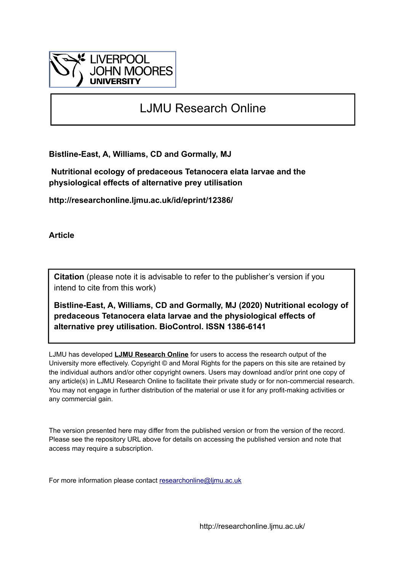

# LJMU Research Online

**Bistline-East, A, Williams, CD and Gormally, MJ**

 **Nutritional ecology of predaceous Tetanocera elata larvae and the physiological effects of alternative prey utilisation**

**http://researchonline.ljmu.ac.uk/id/eprint/12386/**

**Article**

**Citation** (please note it is advisable to refer to the publisher's version if you intend to cite from this work)

**Bistline-East, A, Williams, CD and Gormally, MJ (2020) Nutritional ecology of predaceous Tetanocera elata larvae and the physiological effects of alternative prey utilisation. BioControl. ISSN 1386-6141** 

LJMU has developed **[LJMU Research Online](http://researchonline.ljmu.ac.uk/)** for users to access the research output of the University more effectively. Copyright © and Moral Rights for the papers on this site are retained by the individual authors and/or other copyright owners. Users may download and/or print one copy of any article(s) in LJMU Research Online to facilitate their private study or for non-commercial research. You may not engage in further distribution of the material or use it for any profit-making activities or any commercial gain.

The version presented here may differ from the published version or from the version of the record. Please see the repository URL above for details on accessing the published version and note that access may require a subscription.

For more information please contact [researchonline@ljmu.ac.uk](mailto:researchonline@ljmu.ac.uk)

http://researchonline.ljmu.ac.uk/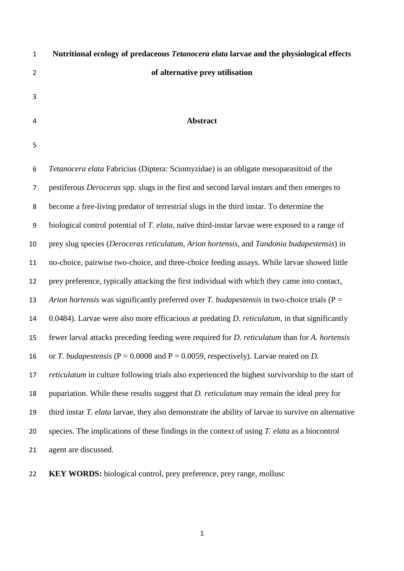| $\mathbf{1}$   | Nutritional ecology of predaceous Tetanocera elata larvae and the physiological effects |
|----------------|-----------------------------------------------------------------------------------------|
| $\overline{2}$ | of alternative prey utilisation                                                         |
| 3              |                                                                                         |
| 4              | <b>Abstract</b>                                                                         |
| 5              |                                                                                         |

 *Tetanocera elata* Fabricius (Diptera: Sciomyzidae) is an obligate mesoparasitoid of the pestiferous *Deroceras* spp. slugs in the first and second larval instars and then emerges to become a free-living predator of terrestrial slugs in the third instar. To determine the biological control potential of *T. elata*, naïve third-instar larvae were exposed to a range of prey slug species (*Deroceras reticulatum*, *Arion hortensis*, and *Tandonia budapestensis*) in no-choice, pairwise two-choice, and three-choice feeding assays. While larvae showed little prey preference, typically attacking the first individual with which they came into contact, *Arion hortensis* was significantly preferred over *T. budapestensis* in two-choice trials (P = 0.0484). Larvae were also more efficacious at predating *D. reticulatum*, in that significantly fewer larval attacks preceding feeding were required for *D. reticulatum* than for *A. hortensis* 16 or *T. budapestensis* ( $P = 0.0008$  and  $P = 0.0059$ , respectively). Larvae reared on *D. reticulatum* in culture following trials also experienced the highest survivorship to the start of pupariation. While these results suggest that *D. reticulatum* may remain the ideal prey for third instar *T. elata* larvae, they also demonstrate the ability of larvae to survive on alternative species. The implications of these findings in the context of using *T. elata* as a biocontrol agent are discussed.

**KEY WORDS:** biological control, prey preference, prey range, mollusc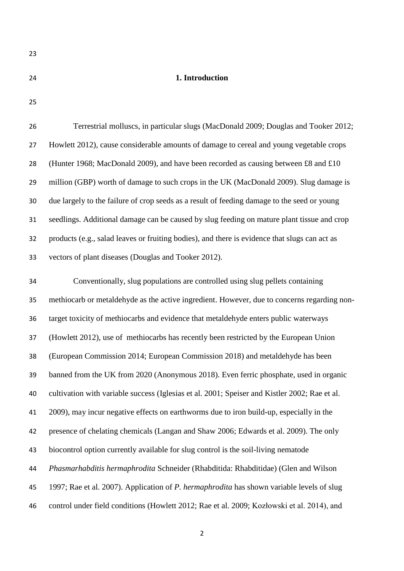### **1. Introduction**

 Terrestrial molluscs, in particular slugs (MacDonald 2009; Douglas and Tooker 2012; Howlett 2012), cause considerable amounts of damage to cereal and young vegetable crops (Hunter 1968; MacDonald 2009), and have been recorded as causing between £8 and £10 million (GBP) worth of damage to such crops in the UK (MacDonald 2009). Slug damage is due largely to the failure of crop seeds as a result of feeding damage to the seed or young seedlings. Additional damage can be caused by slug feeding on mature plant tissue and crop products (e.g., salad leaves or fruiting bodies), and there is evidence that slugs can act as vectors of plant diseases (Douglas and Tooker 2012).

 Conventionally, slug populations are controlled using slug pellets containing methiocarb or metaldehyde as the active ingredient. However, due to concerns regarding non- target toxicity of methiocarbs and evidence that metaldehyde enters public waterways (Howlett 2012), use of methiocarbs has recently been restricted by the European Union (European Commission 2014; European Commission 2018) and metaldehyde has been banned from the UK from 2020 (Anonymous 2018). Even ferric phosphate, used in organic cultivation with variable success (Iglesias et al. 2001; Speiser and Kistler 2002; Rae et al. 2009), may incur negative effects on earthworms due to iron build-up, especially in the presence of chelating chemicals (Langan and Shaw 2006; Edwards et al. 2009). The only biocontrol option currently available for slug control is the soil-living nematode *Phasmarhabditis hermaphrodita* Schneider (Rhabditida: Rhabditidae) (Glen and Wilson 1997; Rae et al. 2007). Application of *P. hermaphrodita* has shown variable levels of slug control under field conditions (Howlett 2012; Rae et al. 2009; Kozłowski et al. 2014), and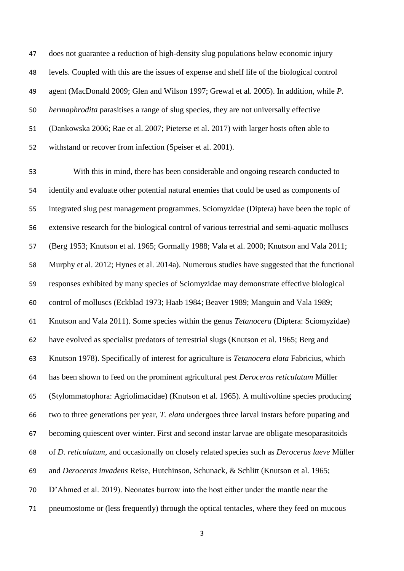does not guarantee a reduction of high-density slug populations below economic injury levels. Coupled with this are the issues of expense and shelf life of the biological control agent (MacDonald 2009; Glen and Wilson 1997; Grewal et al. 2005). In addition, while *P. hermaphrodita* parasitises a range of slug species, they are not universally effective (Dankowska 2006; Rae et al. 2007; Pieterse et al. 2017) with larger hosts often able to withstand or recover from infection (Speiser et al. 2001).

 With this in mind, there has been considerable and ongoing research conducted to identify and evaluate other potential natural enemies that could be used as components of integrated slug pest management programmes. Sciomyzidae (Diptera) have been the topic of extensive research for the biological control of various terrestrial and semi-aquatic molluscs (Berg 1953; Knutson et al. 1965; Gormally 1988; Vala et al. 2000; Knutson and Vala 2011; Murphy et al. 2012; Hynes et al. 2014a). Numerous studies have suggested that the functional responses exhibited by many species of Sciomyzidae may demonstrate effective biological control of molluscs (Eckblad 1973; Haab 1984; Beaver 1989; Manguin and Vala 1989; Knutson and Vala 2011). Some species within the genus *Tetanocera* (Diptera: Sciomyzidae) have evolved as specialist predators of terrestrial slugs (Knutson et al. 1965; Berg and Knutson 1978). Specifically of interest for agriculture is *Tetanocera elata* Fabricius, which has been shown to feed on the prominent agricultural pest *Deroceras reticulatum* Müller (Stylommatophora: Agriolimacidae) (Knutson et al. 1965). A multivoltine species producing two to three generations per year, *T. elata* undergoes three larval instars before pupating and becoming quiescent over winter. First and second instar larvae are obligate mesoparasitoids of *D. reticulatum*, and occasionally on closely related species such as *Deroceras laeve* Müller and *Deroceras invadens* Reise, Hutchinson, Schunack, & Schlitt (Knutson et al. 1965; D'Ahmed et al. 2019). Neonates burrow into the host either under the mantle near the pneumostome or (less frequently) through the optical tentacles, where they feed on mucous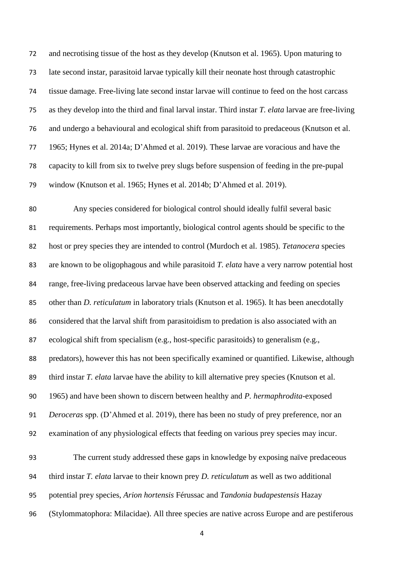and necrotising tissue of the host as they develop (Knutson et al. 1965). Upon maturing to late second instar, parasitoid larvae typically kill their neonate host through catastrophic tissue damage. Free-living late second instar larvae will continue to feed on the host carcass as they develop into the third and final larval instar. Third instar *T. elata* larvae are free-living and undergo a behavioural and ecological shift from parasitoid to predaceous (Knutson et al. 1965; Hynes et al. 2014a; D'Ahmed et al. 2019). These larvae are voracious and have the capacity to kill from six to twelve prey slugs before suspension of feeding in the pre-pupal window (Knutson et al. 1965; Hynes et al. 2014b; D'Ahmed et al. 2019).

 Any species considered for biological control should ideally fulfil several basic requirements. Perhaps most importantly, biological control agents should be specific to the host or prey species they are intended to control (Murdoch et al. 1985). *Tetanocera* species are known to be oligophagous and while parasitoid *T. elata* have a very narrow potential host range, free-living predaceous larvae have been observed attacking and feeding on species other than *D. reticulatum* in laboratory trials (Knutson et al. 1965). It has been anecdotally considered that the larval shift from parasitoidism to predation is also associated with an ecological shift from specialism (e.g., host-specific parasitoids) to generalism (e.g., predators), however this has not been specifically examined or quantified. Likewise, although third instar *T. elata* larvae have the ability to kill alternative prey species (Knutson et al. 1965) and have been shown to discern between healthy and *P. hermaphrodita*-exposed *Deroceras* spp. (D'Ahmed et al. 2019), there has been no study of prey preference, nor an examination of any physiological effects that feeding on various prey species may incur.

 The current study addressed these gaps in knowledge by exposing naïve predaceous third instar *T. elata* larvae to their known prey *D. reticulatum* as well as two additional potential prey species, *Arion hortensis* Férussac and *Tandonia budapestensis* Hazay (Stylommatophora: Milacidae). All three species are native across Europe and are pestiferous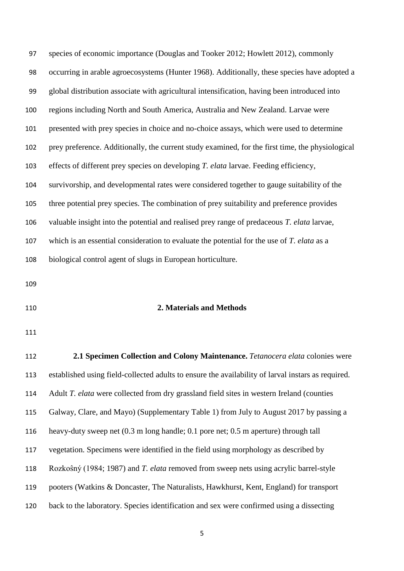| 97  | species of economic importance (Douglas and Tooker 2012; Howlett 2012), commonly                   |
|-----|----------------------------------------------------------------------------------------------------|
| 98  | occurring in arable agroecosystems (Hunter 1968). Additionally, these species have adopted a       |
| 99  | global distribution associate with agricultural intensification, having been introduced into       |
| 100 | regions including North and South America, Australia and New Zealand. Larvae were                  |
| 101 | presented with prey species in choice and no-choice assays, which were used to determine           |
| 102 | prey preference. Additionally, the current study examined, for the first time, the physiological   |
| 103 | effects of different prey species on developing T. elata larvae. Feeding efficiency,               |
| 104 | survivorship, and developmental rates were considered together to gauge suitability of the         |
| 105 | three potential prey species. The combination of prey suitability and preference provides          |
| 106 | valuable insight into the potential and realised prey range of predaceous T. elata larvae,         |
| 107 | which is an essential consideration to evaluate the potential for the use of T. elata as a         |
| 108 | biological control agent of slugs in European horticulture.                                        |
| 109 |                                                                                                    |
|     |                                                                                                    |
| 110 | 2. Materials and Methods                                                                           |
| 111 |                                                                                                    |
| 112 | 2.1 Specimen Collection and Colony Maintenance. Tetanocera elata colonies were                     |
| 113 | established using field-collected adults to ensure the availability of larval instars as required. |
| 114 | Adult T. elata were collected from dry grassland field sites in western Ireland (counties          |
| 115 | Galway, Clare, and Mayo) (Supplementary Table 1) from July to August 2017 by passing a             |
| 116 |                                                                                                    |
|     | heavy-duty sweep net (0.3 m long handle; 0.1 pore net; 0.5 m aperture) through tall                |
| 117 | vegetation. Specimens were identified in the field using morphology as described by                |
| 118 | Rozkoŝný (1984; 1987) and T. elata removed from sweep nets using acrylic barrel-style              |

- pooters (Watkins & Doncaster, The Naturalists, Hawkhurst, Kent, England) for transport
- back to the laboratory. Species identification and sex were confirmed using a dissecting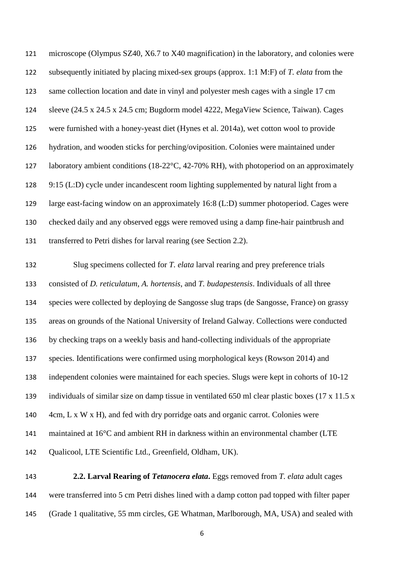microscope (Olympus SZ40, X6.7 to X40 magnification) in the laboratory, and colonies were subsequently initiated by placing mixed-sex groups (approx. 1:1 M:F) of *T. elata* from the same collection location and date in vinyl and polyester mesh cages with a single 17 cm sleeve (24.5 x 24.5 x 24.5 cm; Bugdorm model 4222, MegaView Science, Taiwan). Cages were furnished with a honey-yeast diet (Hynes et al. 2014a), wet cotton wool to provide hydration, and wooden sticks for perching/oviposition. Colonies were maintained under 127 laboratory ambient conditions (18-22°C, 42-70% RH), with photoperiod on an approximately 9:15 (L:D) cycle under incandescent room lighting supplemented by natural light from a large east-facing window on an approximately 16:8 (L:D) summer photoperiod. Cages were checked daily and any observed eggs were removed using a damp fine-hair paintbrush and transferred to Petri dishes for larval rearing (see Section 2.2).

 Slug specimens collected for *T. elata* larval rearing and prey preference trials consisted of *D. reticulatum*, *A. hortensis*, and *T. budapestensis*. Individuals of all three species were collected by deploying de Sangosse slug traps (de Sangosse, France) on grassy areas on grounds of the National University of Ireland Galway. Collections were conducted by checking traps on a weekly basis and hand-collecting individuals of the appropriate species. Identifications were confirmed using morphological keys (Rowson 2014) and independent colonies were maintained for each species. Slugs were kept in cohorts of 10-12 individuals of similar size on damp tissue in ventilated 650 ml clear plastic boxes (17 x 11.5 x 140 4cm, L x W x H), and fed with dry porridge oats and organic carrot. Colonies were 141 maintained at 16°C and ambient RH in darkness within an environmental chamber (LTE Qualicool, LTE Scientific Ltd., Greenfield, Oldham, UK).

 **2.2. Larval Rearing of** *Tetanocera elata***.** Eggs removed from *T. elata* adult cages were transferred into 5 cm Petri dishes lined with a damp cotton pad topped with filter paper (Grade 1 qualitative, 55 mm circles, GE Whatman, Marlborough, MA, USA) and sealed with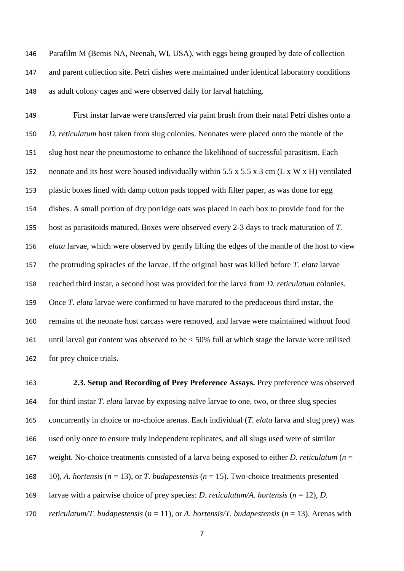Parafilm M (Bemis NA, Neenah, WI, USA), with eggs being grouped by date of collection and parent collection site. Petri dishes were maintained under identical laboratory conditions as adult colony cages and were observed daily for larval hatching.

 First instar larvae were transferred via paint brush from their natal Petri dishes onto a *D. reticulatum* host taken from slug colonies. Neonates were placed onto the mantle of the slug host near the pneumostome to enhance the likelihood of successful parasitism. Each 152 neonate and its host were housed individually within 5.5 x 5.5 x 3 cm (L x W x H) ventilated plastic boxes lined with damp cotton pads topped with filter paper, as was done for egg dishes. A small portion of dry porridge oats was placed in each box to provide food for the host as parasitoids matured. Boxes were observed every 2-3 days to track maturation of *T. elata* larvae, which were observed by gently lifting the edges of the mantle of the host to view the protruding spiracles of the larvae. If the original host was killed before *T. elata* larvae reached third instar, a second host was provided for the larva from *D. reticulatum* colonies. Once *T. elata* larvae were confirmed to have matured to the predaceous third instar, the remains of the neonate host carcass were removed, and larvae were maintained without food until larval gut content was observed to be < 50% full at which stage the larvae were utilised for prey choice trials.

 **2.3. Setup and Recording of Prey Preference Assays.** Prey preference was observed for third instar *T. elata* larvae by exposing naïve larvae to one, two, or three slug species concurrently in choice or no-choice arenas. Each individual (*T. elata* larva and slug prey) was used only once to ensure truly independent replicates, and all slugs used were of similar weight. No-choice treatments consisted of a larva being exposed to either *D. reticulatum* (*n* = 10), *A. hortensis* (*n* = 13), or *T. budapestensis* (*n* = 15). Two-choice treatments presented larvae with a pairwise choice of prey species: *D. reticulatum/A. hortensis* (*n* = 12), *D. reticulatum/T. budapestensis* (*n* = 11), or *A. hortensis/T. budapestensis* (*n* = 13). Arenas with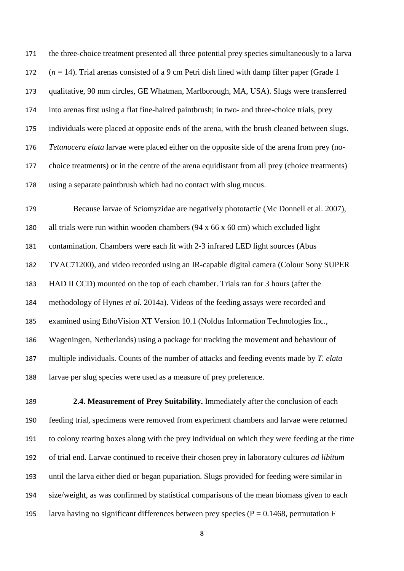the three-choice treatment presented all three potential prey species simultaneously to a larva (*n* = 14). Trial arenas consisted of a 9 cm Petri dish lined with damp filter paper (Grade 1 qualitative, 90 mm circles, GE Whatman, Marlborough, MA, USA). Slugs were transferred into arenas first using a flat fine-haired paintbrush; in two- and three-choice trials, prey individuals were placed at opposite ends of the arena, with the brush cleaned between slugs. *Tetanocera elata* larvae were placed either on the opposite side of the arena from prey (no- choice treatments) or in the centre of the arena equidistant from all prey (choice treatments) using a separate paintbrush which had no contact with slug mucus.

 Because larvae of Sciomyzidae are negatively phototactic (Mc Donnell et al. 2007), all trials were run within wooden chambers (94 x 66 x 60 cm) which excluded light contamination. Chambers were each lit with 2-3 infrared LED light sources (Abus TVAC71200), and video recorded using an IR-capable digital camera (Colour Sony SUPER HAD II CCD) mounted on the top of each chamber. Trials ran for 3 hours (after the methodology of Hynes *et al.* 2014a). Videos of the feeding assays were recorded and examined using EthoVision XT Version 10.1 (Noldus Information Technologies Inc., Wageningen, Netherlands) using a package for tracking the movement and behaviour of multiple individuals. Counts of the number of attacks and feeding events made by *T. elata* larvae per slug species were used as a measure of prey preference.

 **2.4. Measurement of Prey Suitability.** Immediately after the conclusion of each feeding trial, specimens were removed from experiment chambers and larvae were returned to colony rearing boxes along with the prey individual on which they were feeding at the time of trial end. Larvae continued to receive their chosen prey in laboratory cultures *ad libitum* until the larva either died or began pupariation. Slugs provided for feeding were similar in size/weight, as was confirmed by statistical comparisons of the mean biomass given to each 195 larva having no significant differences between prey species ( $P = 0.1468$ , permutation F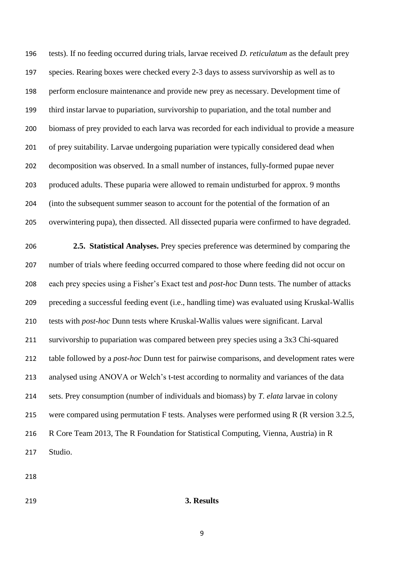tests). If no feeding occurred during trials, larvae received *D. reticulatum* as the default prey species. Rearing boxes were checked every 2-3 days to assess survivorship as well as to perform enclosure maintenance and provide new prey as necessary. Development time of third instar larvae to pupariation, survivorship to pupariation, and the total number and biomass of prey provided to each larva was recorded for each individual to provide a measure of prey suitability. Larvae undergoing pupariation were typically considered dead when decomposition was observed. In a small number of instances, fully-formed pupae never produced adults. These puparia were allowed to remain undisturbed for approx. 9 months (into the subsequent summer season to account for the potential of the formation of an overwintering pupa), then dissected. All dissected puparia were confirmed to have degraded.

 **2.5. Statistical Analyses.** Prey species preference was determined by comparing the number of trials where feeding occurred compared to those where feeding did not occur on each prey species using a Fisher's Exact test and *post-hoc* Dunn tests. The number of attacks preceding a successful feeding event (i.e., handling time) was evaluated using Kruskal-Wallis tests with *post-hoc* Dunn tests where Kruskal-Wallis values were significant. Larval survivorship to pupariation was compared between prey species using a 3x3 Chi-squared table followed by a *post-hoc* Dunn test for pairwise comparisons, and development rates were analysed using ANOVA or Welch's t-test according to normality and variances of the data sets. Prey consumption (number of individuals and biomass) by *T. elata* larvae in colony 215 were compared using permutation F tests. Analyses were performed using R (R version 3.2.5, R Core Team 2013, The R Foundation for Statistical Computing, Vienna, Austria) in R Studio.

### **3. Results**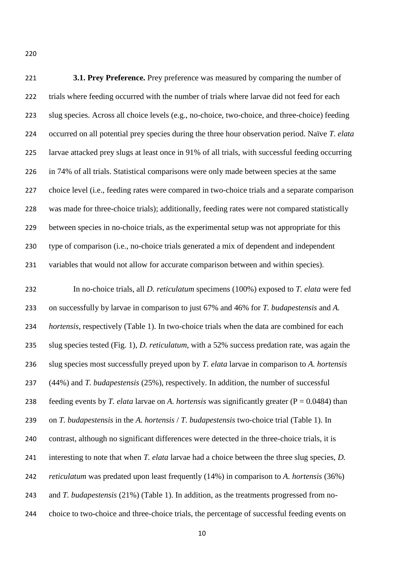| 221 | 3.1. Prey Preference. Prey preference was measured by comparing the number of                    |
|-----|--------------------------------------------------------------------------------------------------|
| 222 | trials where feeding occurred with the number of trials where larvae did not feed for each       |
| 223 | slug species. Across all choice levels (e.g., no-choice, two-choice, and three-choice) feeding   |
| 224 | occurred on all potential prey species during the three hour observation period. Naïve T. elata  |
| 225 | larvae attacked prey slugs at least once in 91% of all trials, with successful feeding occurring |
| 226 | in 74% of all trials. Statistical comparisons were only made between species at the same         |
| 227 | choice level (i.e., feeding rates were compared in two-choice trials and a separate comparison   |
| 228 | was made for three-choice trials); additionally, feeding rates were not compared statistically   |
| 229 | between species in no-choice trials, as the experimental setup was not appropriate for this      |
| 230 | type of comparison ( <i>i.e.</i> , no-choice trials generated a mix of dependent and independent |
| 231 | variables that would not allow for accurate comparison between and within species).              |

 In no-choice trials, all *D. reticulatum* specimens (100%) exposed to *T. elata* were fed on successfully by larvae in comparison to just 67% and 46% for *T. budapestensis* and *A. hortensis*, respectively (Table 1). In two-choice trials when the data are combined for each slug species tested (Fig. 1), *D. reticulatum*, with a 52% success predation rate, was again the slug species most successfully preyed upon by *T. elata* larvae in comparison to *A. hortensis* (44%) and *T. budapestensis* (25%), respectively. In addition, the number of successful feeding events by *T. elata* larvae on *A. hortensis* was significantly greater (P = 0.0484) than on *T. budapestensis* in the *A. hortensis* / *T. budapestensis* two-choice trial (Table 1). In contrast, although no significant differences were detected in the three-choice trials, it is interesting to note that when *T. elata* larvae had a choice between the three slug species, *D. reticulatum* was predated upon least frequently (14%) in comparison to *A. hortensis* (36%) and *T. budapestensis* (21%) (Table 1). In addition, as the treatments progressed from no-choice to two-choice and three-choice trials, the percentage of successful feeding events on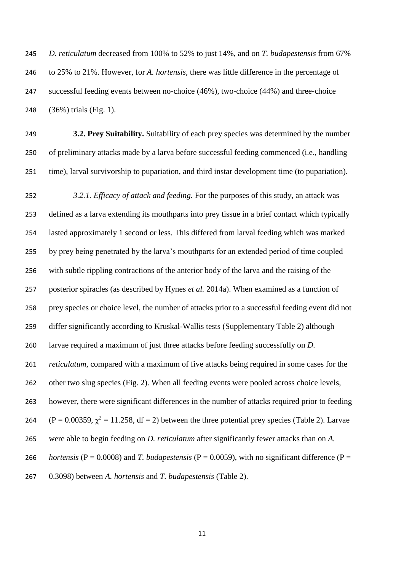*D. reticulatum* decreased from 100% to 52% to just 14%, and on *T. budapestensis* from 67% to 25% to 21%. However, for *A. hortensis*, there was little difference in the percentage of successful feeding events between no-choice (46%), two-choice (44%) and three-choice (36%) trials (Fig. 1).

 **3.2. Prey Suitability.** Suitability of each prey species was determined by the number of preliminary attacks made by a larva before successful feeding commenced (i.e., handling time), larval survivorship to pupariation, and third instar development time (to pupariation).

 *3.2.1. Efficacy of attack and feeding.* For the purposes of this study, an attack was defined as a larva extending its mouthparts into prey tissue in a brief contact which typically lasted approximately 1 second or less. This differed from larval feeding which was marked by prey being penetrated by the larva's mouthparts for an extended period of time coupled with subtle rippling contractions of the anterior body of the larva and the raising of the posterior spiracles (as described by Hynes *et al.* 2014a). When examined as a function of prey species or choice level, the number of attacks prior to a successful feeding event did not differ significantly according to Kruskal-Wallis tests (Supplementary Table 2) although larvae required a maximum of just three attacks before feeding successfully on *D. reticulatum*, compared with a maximum of five attacks being required in some cases for the other two slug species (Fig. 2). When all feeding events were pooled across choice levels, however, there were significant differences in the number of attacks required prior to feeding  $(P = 0.00359, \chi^2 = 11.258, df = 2)$  between the three potential prey species (Table 2). Larvae were able to begin feeding on *D. reticulatum* after significantly fewer attacks than on *A. hortensis* (P = 0.0008) and *T. budapestensis* (P = 0.0059), with no significant difference (P = 0.3098) between *A. hortensis* and *T. budapestensis* (Table 2).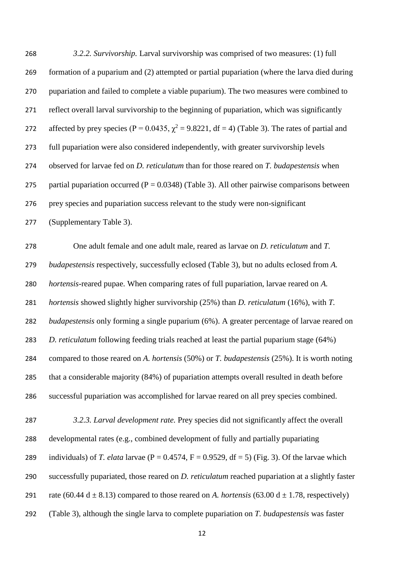*3.2.2. Survivorship.* Larval survivorship was comprised of two measures: (1) full formation of a puparium and (2) attempted or partial pupariation (where the larva died during pupariation and failed to complete a viable puparium). The two measures were combined to reflect overall larval survivorship to the beginning of pupariation, which was significantly 272 affected by prey species ( $P = 0.0435$ ,  $\chi^2 = 9.8221$ , df = 4) (Table 3). The rates of partial and full pupariation were also considered independently, with greater survivorship levels observed for larvae fed on *D. reticulatum* than for those reared on *T. budapestensis* when 275 partial pupariation occurred ( $P = 0.0348$ ) (Table 3). All other pairwise comparisons between prey species and pupariation success relevant to the study were non-significant (Supplementary Table 3).

 One adult female and one adult male, reared as larvae on *D. reticulatum* and *T. budapestensis* respectively, successfully eclosed (Table 3), but no adults eclosed from *A. hortensis*-reared pupae. When comparing rates of full pupariation, larvae reared on *A. hortensis* showed slightly higher survivorship (25%) than *D. reticulatum* (16%), with *T. budapestensis* only forming a single puparium (6%). A greater percentage of larvae reared on *D. reticulatum* following feeding trials reached at least the partial puparium stage (64%) compared to those reared on *A. hortensis* (50%) or *T. budapestensis* (25%). It is worth noting that a considerable majority (84%) of pupariation attempts overall resulted in death before successful pupariation was accomplished for larvae reared on all prey species combined.

 *3.2.3. Larval development rate.* Prey species did not significantly affect the overall developmental rates (e.g., combined development of fully and partially pupariating 289 individuals) of *T. elata* larvae (P = 0.4574, F = 0.9529, df = 5) (Fig. 3). Of the larvae which successfully pupariated, those reared on *D. reticulatum* reached pupariation at a slightly faster 291 rate (60.44 d  $\pm$  8.13) compared to those reared on *A. hortensis* (63.00 d  $\pm$  1.78, respectively) (Table 3), although the single larva to complete pupariation on *T. budapestensis* was faster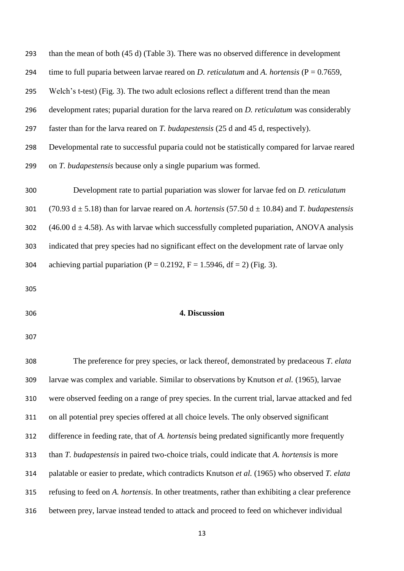| 293 | than the mean of both (45 d) (Table 3). There was no observed difference in development                      |
|-----|--------------------------------------------------------------------------------------------------------------|
| 294 | time to full puparia between larvae reared on <i>D. reticulatum</i> and <i>A. hortensis</i> ( $P = 0.7659$ , |
| 295 | Welch's t-test) (Fig. 3). The two adult eclosions reflect a different trend than the mean                    |
| 296 | development rates; puparial duration for the larva reared on <i>D. reticulatum</i> was considerably          |
| 297 | faster than for the larva reared on T. budapestensis (25 d and 45 d, respectively).                          |
| 298 | Developmental rate to successful puparia could not be statistically compared for larvae reared               |
| 299 | on <i>T. budapestensis</i> because only a single puparium was formed.                                        |
| 300 | Development rate to partial pupariation was slower for larvae fed on <i>D. reticulatum</i>                   |
| 301 | (70.93 d $\pm$ 5.18) than for larvae reared on A. hortensis (57.50 d $\pm$ 10.84) and T. budapestensis       |
| 302 | $(46.00 d \pm 4.58)$ . As with larvae which successfully completed pupariation, ANOVA analysis               |
| 303 | indicated that prey species had no significant effect on the development rate of larvae only                 |
| 304 | achieving partial pupariation (P = 0.2192, F = 1.5946, df = 2) (Fig. 3).                                     |
|     |                                                                                                              |

#### **4. Discussion**

 The preference for prey species, or lack thereof, demonstrated by predaceous *T. elata* larvae was complex and variable. Similar to observations by Knutson *et al.* (1965), larvae were observed feeding on a range of prey species. In the current trial, larvae attacked and fed on all potential prey species offered at all choice levels. The only observed significant difference in feeding rate, that of *A. hortensis* being predated significantly more frequently than *T. budapestensis* in paired two-choice trials, could indicate that *A. hortensis* is more palatable or easier to predate, which contradicts Knutson *et al.* (1965) who observed *T. elata* refusing to feed on *A. hortensis*. In other treatments, rather than exhibiting a clear preference between prey, larvae instead tended to attack and proceed to feed on whichever individual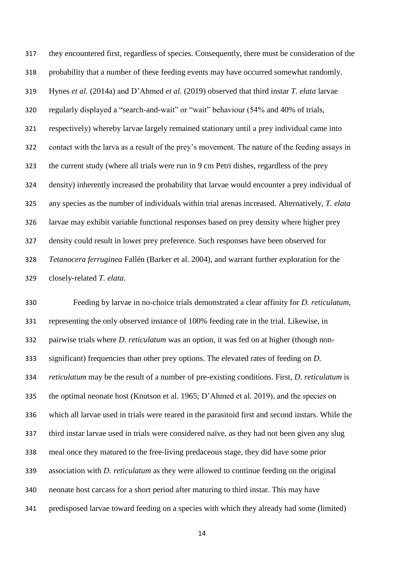they encountered first, regardless of species. Consequently, there must be consideration of the probability that a number of these feeding events may have occurred somewhat randomly. Hynes *et al.* (2014a) and D'Ahmed *et al.* (2019) observed that third instar *T. elata* larvae regularly displayed a "search-and-wait" or "wait" behaviour (54% and 40% of trials, respectively) whereby larvae largely remained stationary until a prey individual came into contact with the larva as a result of the prey's movement. The nature of the feeding assays in the current study (where all trials were run in 9 cm Petri dishes, regardless of the prey density) inherently increased the probability that larvae would encounter a prey individual of any species as the number of individuals within trial arenas increased. Alternatively, *T. elata* larvae may exhibit variable functional responses based on prey density where higher prey density could result in lower prey preference. Such responses have been observed for *Tetanocera ferruginea* Fallén (Barker et al. 2004), and warrant further exploration for the closely-related *T. elata*.

 Feeding by larvae in no-choice trials demonstrated a clear affinity for *D. reticulatum*, representing the only observed instance of 100% feeding rate in the trial. Likewise, in pairwise trials where *D. reticulatum* was an option, it was fed on at higher (though non- significant) frequencies than other prey options. The elevated rates of feeding on *D. reticulatum* may be the result of a number of pre-existing conditions. First, *D. reticulatum* is the optimal neonate host (Knutson et al. 1965; D'Ahmed et al. 2019), and the species on which all larvae used in trials were reared in the parasitoid first and second instars. While the third instar larvae used in trials were considered naïve, as they had not been given any slug meal once they matured to the free-living predaceous stage, they did have some prior association with *D. reticulatum* as they were allowed to continue feeding on the original neonate host carcass for a short period after maturing to third instar. This may have predisposed larvae toward feeding on a species with which they already had some (limited)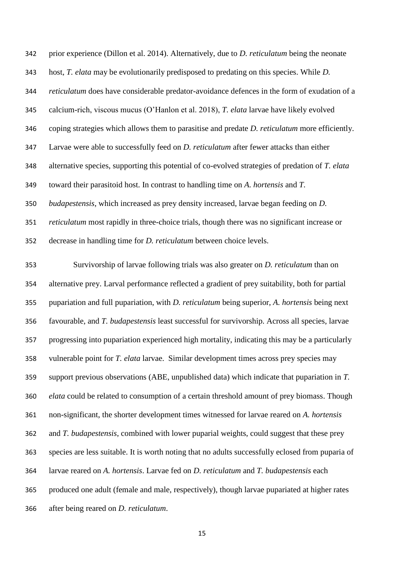prior experience (Dillon et al. 2014). Alternatively, due to *D. reticulatum* being the neonate host, *T. elata* may be evolutionarily predisposed to predating on this species. While *D. reticulatum* does have considerable predator-avoidance defences in the form of exudation of a calcium-rich, viscous mucus (O'Hanlon et al. 2018), *T. elata* larvae have likely evolved coping strategies which allows them to parasitise and predate *D. reticulatum* more efficiently. Larvae were able to successfully feed on *D. reticulatum* after fewer attacks than either alternative species, supporting this potential of co-evolved strategies of predation of *T. elata* toward their parasitoid host. In contrast to handling time on *A. hortensis* and *T. budapestensis*, which increased as prey density increased, larvae began feeding on *D. reticulatum* most rapidly in three-choice trials, though there was no significant increase or decrease in handling time for *D. reticulatum* between choice levels.

 Survivorship of larvae following trials was also greater on *D. reticulatum* than on alternative prey. Larval performance reflected a gradient of prey suitability, both for partial pupariation and full pupariation, with *D. reticulatum* being superior, *A. hortensis* being next favourable, and *T. budapestensis* least successful for survivorship. Across all species, larvae progressing into pupariation experienced high mortality, indicating this may be a particularly vulnerable point for *T. elata* larvae. Similar development times across prey species may support previous observations (ABE, unpublished data) which indicate that pupariation in *T. elata* could be related to consumption of a certain threshold amount of prey biomass. Though non-significant, the shorter development times witnessed for larvae reared on *A. hortensis* and *T. budapestensis*, combined with lower puparial weights, could suggest that these prey species are less suitable. It is worth noting that no adults successfully eclosed from puparia of larvae reared on *A. hortensis*. Larvae fed on *D. reticulatum* and *T. budapestensis* each produced one adult (female and male, respectively), though larvae pupariated at higher rates after being reared on *D. reticulatum*.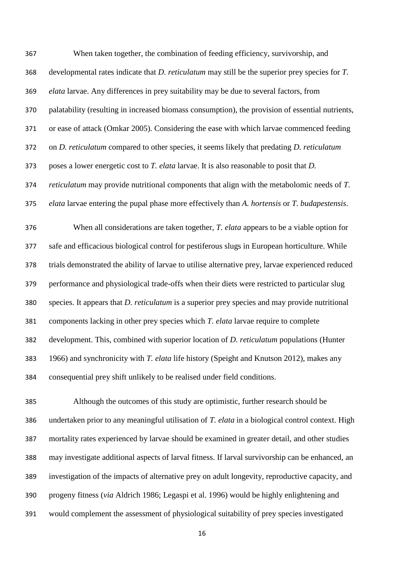When taken together, the combination of feeding efficiency, survivorship, and developmental rates indicate that *D. reticulatum* may still be the superior prey species for *T. elata* larvae. Any differences in prey suitability may be due to several factors, from palatability (resulting in increased biomass consumption), the provision of essential nutrients, or ease of attack (Omkar 2005). Considering the ease with which larvae commenced feeding on *D. reticulatum* compared to other species, it seems likely that predating *D. reticulatum* poses a lower energetic cost to *T. elata* larvae. It is also reasonable to posit that *D. reticulatum* may provide nutritional components that align with the metabolomic needs of *T. elata* larvae entering the pupal phase more effectively than *A. hortensis* or *T. budapestensis*. When all considerations are taken together, *T. elata* appears to be a viable option for safe and efficacious biological control for pestiferous slugs in European horticulture. While trials demonstrated the ability of larvae to utilise alternative prey, larvae experienced reduced performance and physiological trade-offs when their diets were restricted to particular slug species. It appears that *D. reticulatum* is a superior prey species and may provide nutritional components lacking in other prey species which *T. elata* larvae require to complete development. This, combined with superior location of *D. reticulatum* populations (Hunter 1966) and synchronicity with *T. elata* life history (Speight and Knutson 2012), makes any consequential prey shift unlikely to be realised under field conditions.

 Although the outcomes of this study are optimistic, further research should be undertaken prior to any meaningful utilisation of *T. elata* in a biological control context. High mortality rates experienced by larvae should be examined in greater detail, and other studies may investigate additional aspects of larval fitness. If larval survivorship can be enhanced, an investigation of the impacts of alternative prey on adult longevity, reproductive capacity, and progeny fitness (*via* Aldrich 1986; Legaspi et al. 1996) would be highly enlightening and would complement the assessment of physiological suitability of prey species investigated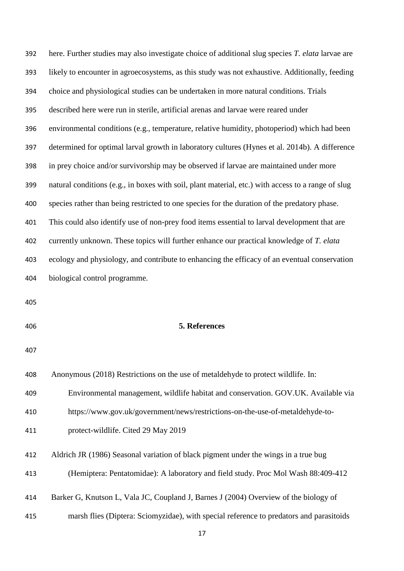| 392 | here. Further studies may also investigate choice of additional slug species T. elata larvae are   |
|-----|----------------------------------------------------------------------------------------------------|
| 393 | likely to encounter in agroecosystems, as this study was not exhaustive. Additionally, feeding     |
| 394 | choice and physiological studies can be undertaken in more natural conditions. Trials              |
| 395 | described here were run in sterile, artificial arenas and larvae were reared under                 |
| 396 | environmental conditions (e.g., temperature, relative humidity, photoperiod) which had been        |
| 397 | determined for optimal larval growth in laboratory cultures (Hynes et al. 2014b). A difference     |
| 398 | in prey choice and/or survivorship may be observed if larvae are maintained under more             |
| 399 | natural conditions (e.g., in boxes with soil, plant material, etc.) with access to a range of slug |
| 400 | species rather than being restricted to one species for the duration of the predatory phase.       |
| 401 | This could also identify use of non-prey food items essential to larval development that are       |
| 402 | currently unknown. These topics will further enhance our practical knowledge of T. elata           |
| 403 | ecology and physiology, and contribute to enhancing the efficacy of an eventual conservation       |
| 404 | biological control programme.                                                                      |
| 405 |                                                                                                    |
| 406 | 5. References                                                                                      |
| 407 |                                                                                                    |
|     |                                                                                                    |
| 408 | Anonymous (2018) Restrictions on the use of metaldehyde to protect wildlife. In:                   |
| 409 | Environmental management, wildlife habitat and conservation. GOV.UK. Available via                 |
| 410 | https://www.gov.uk/government/news/restrictions-on-the-use-of-metaldehyde-to-                      |
| 411 | protect-wildlife. Cited 29 May 2019                                                                |
| 412 | Aldrich JR (1986) Seasonal variation of black pigment under the wings in a true bug                |
| 413 | (Hemiptera: Pentatomidae): A laboratory and field study. Proc Mol Wash 88:409-412                  |
| 414 | Barker G, Knutson L, Vala JC, Coupland J, Barnes J (2004) Overview of the biology of               |
| 415 | marsh flies (Diptera: Sciomyzidae), with special reference to predators and parasitoids            |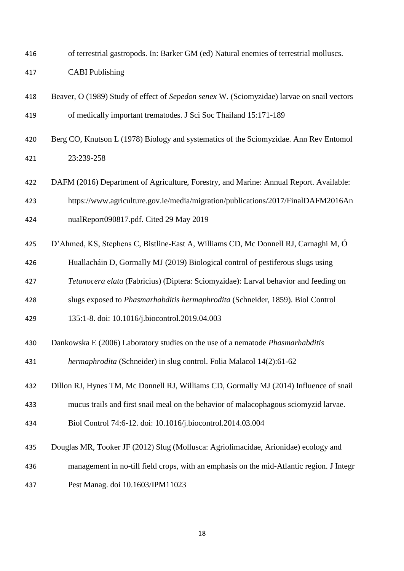- of terrestrial gastropods. In: Barker GM (ed) Natural enemies of terrestrial molluscs.
- CABI Publishing
- Beaver, O (1989) Study of effect of *Sepedon senex* W. (Sciomyzidae) larvae on snail vectors of medically important trematodes. J Sci Soc Thailand 15:171-189
- Berg CO, Knutson L (1978) Biology and systematics of the Sciomyzidae. Ann Rev Entomol 23:239-258
- DAFM (2016) Department of Agriculture, Forestry, and Marine: Annual Report. Available: https://www.agriculture.gov.ie/media/migration/publications/2017/FinalDAFM2016An nualReport090817.pdf. Cited 29 May 2019
- 
- D'Ahmed, KS, Stephens C, Bistline-East A, Williams CD, Mc Donnell RJ, Carnaghi M, Ó
- Huallacháin D, Gormally MJ (2019) Biological control of pestiferous slugs using
- *Tetanocera elata* (Fabricius) (Diptera: Sciomyzidae): Larval behavior and feeding on
- slugs exposed to *Phasmarhabditis hermaphrodita* (Schneider, 1859). Biol Control
- 135:1-8. doi: 10.1016/j.biocontrol.2019.04.003
- Dankowska E (2006) Laboratory studies on the use of a nematode *Phasmarhabditis*
- *hermaphrodita* (Schneider) in slug control. Folia Malacol 14(2):61-62
- Dillon RJ, Hynes TM, Mc Donnell RJ, Williams CD, Gormally MJ (2014) Influence of snail
- mucus trails and first snail meal on the behavior of malacophagous sciomyzid larvae.
- Biol Control 74:6-12. doi: 10.1016/j.biocontrol.2014.03.004
- Douglas MR, Tooker JF (2012) Slug (Mollusca: Agriolimacidae, Arionidae) ecology and
- management in no-till field crops, with an emphasis on the mid-Atlantic region. J Integr
- Pest Manag. doi 10.1603/IPM11023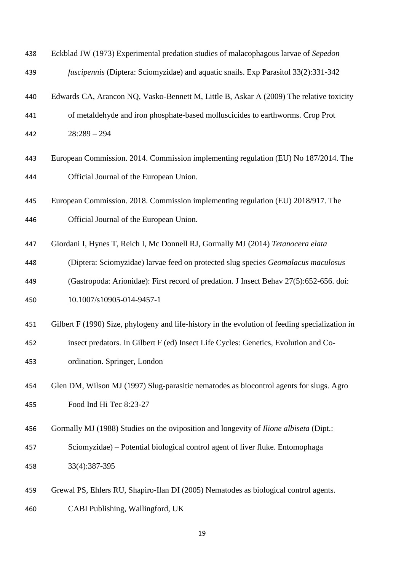| 438 | Eckblad JW (1973) Experimental predation studies of malacophagous larvae of Sepedon             |
|-----|-------------------------------------------------------------------------------------------------|
| 439 | fuscipennis (Diptera: Sciomyzidae) and aquatic snails. Exp Parasitol 33(2):331-342              |
| 440 | Edwards CA, Arancon NQ, Vasko-Bennett M, Little B, Askar A (2009) The relative toxicity         |
| 441 | of metaldehyde and iron phosphate-based molluscicides to earthworms. Crop Prot                  |
| 442 | $28:289 - 294$                                                                                  |
| 443 | European Commission. 2014. Commission implementing regulation (EU) No 187/2014. The             |
| 444 | Official Journal of the European Union.                                                         |
| 445 | European Commission. 2018. Commission implementing regulation (EU) 2018/917. The                |
| 446 | Official Journal of the European Union.                                                         |
| 447 | Giordani I, Hynes T, Reich I, Mc Donnell RJ, Gormally MJ (2014) Tetanocera elata                |
| 448 | (Diptera: Sciomyzidae) larvae feed on protected slug species Geomalacus maculosus               |
| 449 | (Gastropoda: Arionidae): First record of predation. J Insect Behav 27(5):652-656. doi:          |
| 450 | 10.1007/s10905-014-9457-1                                                                       |
| 451 | Gilbert F (1990) Size, phylogeny and life-history in the evolution of feeding specialization in |
| 452 | insect predators. In Gilbert F (ed) Insect Life Cycles: Genetics, Evolution and Co-             |
| 453 | ordination. Springer, London                                                                    |
| 454 | Glen DM, Wilson MJ (1997) Slug-parasitic nematodes as biocontrol agents for slugs. Agro         |
| 455 | Food Ind Hi Tec 8:23-27                                                                         |
| 456 | Gormally MJ (1988) Studies on the oviposition and longevity of <i>Ilione albiseta</i> (Dipt.:   |
| 457 | Sciomyzidae) – Potential biological control agent of liver fluke. Entomophaga                   |
| 458 | 33(4):387-395                                                                                   |
| 459 | Grewal PS, Ehlers RU, Shapiro-Ilan DI (2005) Nematodes as biological control agents.            |
| 460 | CABI Publishing, Wallingford, UK                                                                |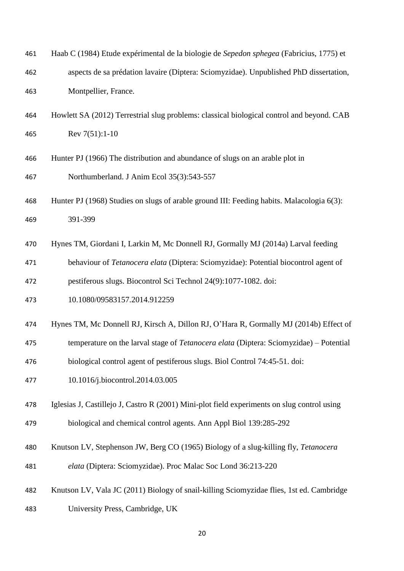| 461 | Haab C (1984) Etude expérimental de la biologie de Sepedon sphegea (Fabricius, 1775) et       |
|-----|-----------------------------------------------------------------------------------------------|
| 462 | aspects de sa prédation lavaire (Diptera: Sciomyzidae). Unpublished PhD dissertation,         |
| 463 | Montpellier, France.                                                                          |
| 464 | Howlett SA (2012) Terrestrial slug problems: classical biological control and beyond. CAB     |
| 465 | Rev 7(51):1-10                                                                                |
| 466 | Hunter PJ (1966) The distribution and abundance of slugs on an arable plot in                 |
| 467 | Northumberland. J Anim Ecol 35(3):543-557                                                     |
| 468 | Hunter PJ (1968) Studies on slugs of arable ground III: Feeding habits. Malacologia 6(3):     |
| 469 | 391-399                                                                                       |
| 470 | Hynes TM, Giordani I, Larkin M, Mc Donnell RJ, Gormally MJ (2014a) Larval feeding             |
| 471 | behaviour of Tetanocera elata (Diptera: Sciomyzidae): Potential biocontrol agent of           |
| 472 | pestiferous slugs. Biocontrol Sci Technol 24(9):1077-1082. doi:                               |
| 473 | 10.1080/09583157.2014.912259                                                                  |
| 474 | Hynes TM, Mc Donnell RJ, Kirsch A, Dillon RJ, O'Hara R, Gormally MJ (2014b) Effect of         |
| 475 | temperature on the larval stage of <i>Tetanocera elata</i> (Diptera: Sciomyzidae) – Potential |
| 476 | biological control agent of pestiferous slugs. Biol Control 74:45-51. doi:                    |
| 477 | 10.1016/j.biocontrol.2014.03.005                                                              |
| 478 | Iglesias J, Castillejo J, Castro R (2001) Mini-plot field experiments on slug control using   |
| 479 | biological and chemical control agents. Ann Appl Biol 139:285-292                             |
| 480 | Knutson LV, Stephenson JW, Berg CO (1965) Biology of a slug-killing fly, Tetanocera           |
| 481 | elata (Diptera: Sciomyzidae). Proc Malac Soc Lond 36:213-220                                  |
| 482 | Knutson LV, Vala JC (2011) Biology of snail-killing Sciomyzidae flies, 1st ed. Cambridge      |
| 483 | University Press, Cambridge, UK                                                               |
|     |                                                                                               |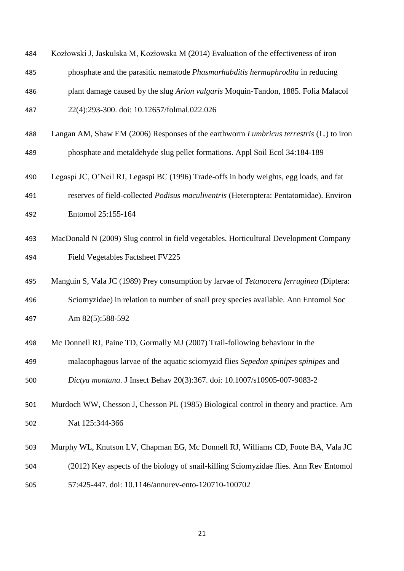| 484 | Kozłowski J, Jaskulska M, Kozłowska M (2014) Evaluation of the effectiveness of iron    |
|-----|-----------------------------------------------------------------------------------------|
| 485 | phosphate and the parasitic nematode <i>Phasmarhabditis hermaphrodita</i> in reducing   |
| 486 | plant damage caused by the slug Arion vulgaris Moquin-Tandon, 1885. Folia Malacol       |
| 487 | 22(4):293-300. doi: 10.12657/folmal.022.026                                             |
| 488 | Langan AM, Shaw EM (2006) Responses of the earthworm Lumbricus terrestris (L.) to iron  |
| 489 | phosphate and metaldehyde slug pellet formations. Appl Soil Ecol 34:184-189             |
| 490 | Legaspi JC, O'Neil RJ, Legaspi BC (1996) Trade-offs in body weights, egg loads, and fat |
| 491 | reserves of field-collected Podisus maculiventris (Heteroptera: Pentatomidae). Environ  |
| 492 | Entomol 25:155-164                                                                      |
| 493 | MacDonald N (2009) Slug control in field vegetables. Horticultural Development Company  |
| 494 | Field Vegetables Factsheet FV225                                                        |
| 495 | Manguin S, Vala JC (1989) Prey consumption by larvae of Tetanocera ferruginea (Diptera: |
| 496 | Sciomyzidae) in relation to number of snail prey species available. Ann Entomol Soc     |
| 497 | Am 82(5):588-592                                                                        |
| 498 | Mc Donnell RJ, Paine TD, Gormally MJ (2007) Trail-following behaviour in the            |
| 499 | malacophagous larvae of the aquatic sciomyzid flies Sepedon spinipes spinipes and       |
| 500 | Dictya montana. J Insect Behav 20(3):367. doi: 10.1007/s10905-007-9083-2                |
| 501 | Murdoch WW, Chesson J, Chesson PL (1985) Biological control in theory and practice. Am  |
| 502 | Nat 125:344-366                                                                         |
| 503 | Murphy WL, Knutson LV, Chapman EG, Mc Donnell RJ, Williams CD, Foote BA, Vala JC        |
| 504 | (2012) Key aspects of the biology of snail-killing Sciomyzidae flies. Ann Rev Entomol   |
| 505 | 57:425-447. doi: 10.1146/annurev-ento-120710-100702                                     |
|     |                                                                                         |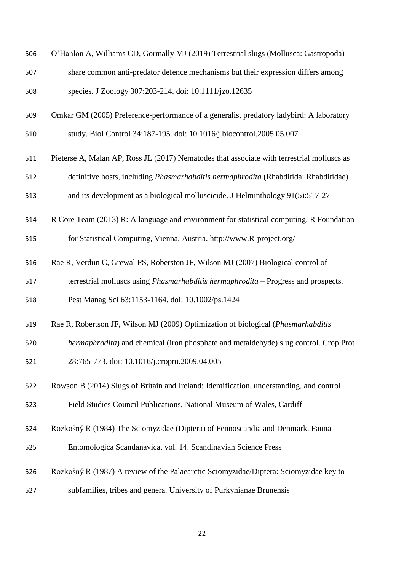| 506 | O'Hanlon A, Williams CD, Gormally MJ (2019) Terrestrial slugs (Mollusca: Gastropoda)       |
|-----|--------------------------------------------------------------------------------------------|
| 507 | share common anti-predator defence mechanisms but their expression differs among           |
| 508 | species. J Zoology 307:203-214. doi: 10.1111/jzo.12635                                     |
| 509 | Omkar GM (2005) Preference-performance of a generalist predatory ladybird: A laboratory    |
| 510 | study. Biol Control 34:187-195. doi: 10.1016/j.biocontrol.2005.05.007                      |
| 511 | Pieterse A, Malan AP, Ross JL (2017) Nematodes that associate with terrestrial molluscs as |
| 512 | definitive hosts, including Phasmarhabditis hermaphrodita (Rhabditida: Rhabditidae)        |
| 513 | and its development as a biological molluscicide. J Helminthology 91(5):517-27             |
| 514 | R Core Team (2013) R: A language and environment for statistical computing. R Foundation   |
| 515 | for Statistical Computing, Vienna, Austria. http://www.R-project.org/                      |
| 516 | Rae R, Verdun C, Grewal PS, Roberston JF, Wilson MJ (2007) Biological control of           |
| 517 | terrestrial molluscs using <i>Phasmarhabditis hermaphrodita</i> – Progress and prospects.  |
| 518 | Pest Manag Sci 63:1153-1164. doi: 10.1002/ps.1424                                          |
| 519 | Rae R, Robertson JF, Wilson MJ (2009) Optimization of biological (Phasmarhabditis          |
| 520 | hermaphrodita) and chemical (iron phosphate and metaldehyde) slug control. Crop Prot       |
| 521 | 28:765-773. doi: 10.1016/j.cropro.2009.04.005                                              |
| 522 | Rowson B (2014) Slugs of Britain and Ireland: Identification, understanding, and control.  |
| 523 | Field Studies Council Publications, National Museum of Wales, Cardiff                      |
| 524 | Rozkoŝný R (1984) The Sciomyzidae (Diptera) of Fennoscandia and Denmark. Fauna             |
| 525 | Entomologica Scandanavica, vol. 14. Scandinavian Science Press                             |
| 526 | Rozkoŝný R (1987) A review of the Palaearctic Sciomyzidae/Diptera: Sciomyzidae key to      |
| 527 | subfamilies, tribes and genera. University of Purkynianae Brunensis                        |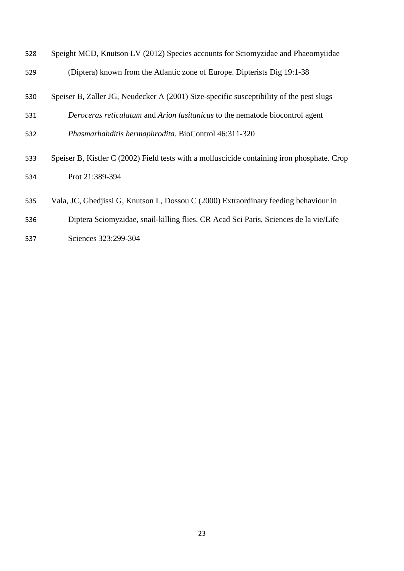| 528 | Speight MCD, Knutson LV (2012) Species accounts for Sciomyzidae and Phaeomyiidae            |
|-----|---------------------------------------------------------------------------------------------|
| 529 | (Diptera) known from the Atlantic zone of Europe. Dipterists Dig 19:1-38                    |
| 530 | Speiser B, Zaller JG, Neudecker A (2001) Size-specific susceptibility of the pest slugs     |
| 531 | Deroceras reticulatum and Arion lusitanicus to the nematode biocontrol agent                |
| 532 | Phasmarhabditis hermaphrodita. BioControl 46:311-320                                        |
| 533 | Speiser B, Kistler C (2002) Field tests with a molluscicide containing iron phosphate. Crop |
| 534 | Prot 21:389-394                                                                             |

- Vala, JC, Gbedjissi G, Knutson L, Dossou C (2000) Extraordinary feeding behaviour in
- Diptera Sciomyzidae, snail-killing flies. CR Acad Sci Paris, Sciences de la vie/Life
- Sciences 323:299-304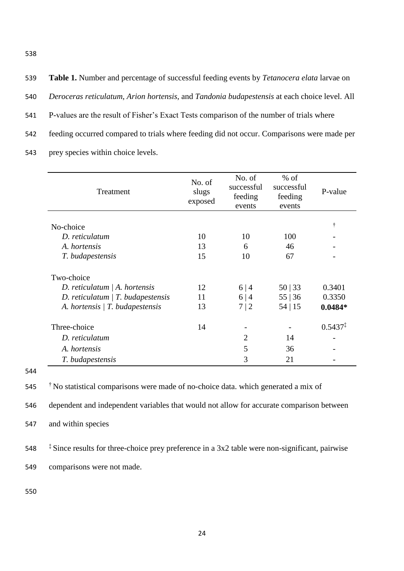539 **Table 1.** Number and percentage of successful feeding events by *Tetanocera elata* larvae on 540 *Deroceras reticulatum*, *Arion hortensis*, and *Tandonia budapestensis* at each choice level. All 541 P-values are the result of Fisher's Exact Tests comparison of the number of trials where

542 feeding occurred compared to trials where feeding did not occur. Comparisons were made per

543 prey species within choice levels.

| Treatment                              | No. of<br>slugs<br>exposed | No. of<br>successful<br>feeding<br>events | $%$ of<br>successful<br>feeding<br>events | P-value             |
|----------------------------------------|----------------------------|-------------------------------------------|-------------------------------------------|---------------------|
|                                        |                            |                                           |                                           | ÷                   |
| No-choice                              |                            |                                           |                                           |                     |
| D. reticulatum                         | 10                         | 10                                        | 100                                       |                     |
| A. hortensis                           | 13                         | 6                                         | 46                                        |                     |
| T. budapestensis                       | 15                         | 10                                        | 67                                        |                     |
| Two-choice                             |                            |                                           |                                           |                     |
| D. reticulatum $/A$ . hortensis        | 12                         | 6 4                                       | 50   33                                   | 0.3401              |
| D. reticulatum $\mid$ T. budapestensis | 11                         | 6 4                                       | 55 36                                     | 0.3350              |
| A. hortensis $\int T$ . budapestensis  | 13                         | 7 2                                       | 54 15                                     | $0.0484*$           |
| Three-choice                           | 14                         |                                           |                                           | $0.5437^{\ddagger}$ |
| D. reticulatum                         |                            | $\overline{2}$                            | 14                                        |                     |
| A. hortensis                           |                            | 5                                         | 36                                        |                     |
| T. budapestensis                       |                            | 3                                         | 21                                        |                     |

544

† 545 No statistical comparisons were made of no-choice data. which generated a mix of

546 dependent and independent variables that would not allow for accurate comparison between

547 and within species

 $548$  <sup> $\ddagger$ </sup> Since results for three-choice prey preference in a 3x2 table were non-significant, pairwise

549 comparisons were not made.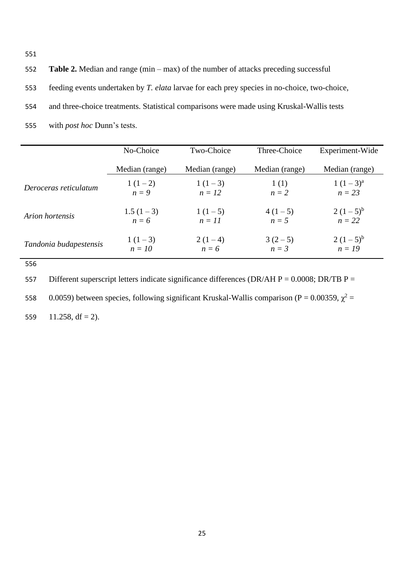**Table 2.** Median and range (min – max) of the number of attacks preceding successful feeding events undertaken by *T. elata* larvae for each prey species in no-choice, two-choice, and three-choice treatments. Statistical comparisons were made using Kruskal-Wallis tests with *post hoc* Dunn's tests.

|                        | No-Choice      | Two-Choice     | Three-Choice   | Experiment-Wide |
|------------------------|----------------|----------------|----------------|-----------------|
|                        | Median (range) | Median (range) | Median (range) | Median (range)  |
| Deroceras reticulatum  | $1(1-2)$       | $1(1-3)$       | 1(1)           | $1(1-3)^{a}$    |
|                        | $n=9$          | $n = 12$       | $n=2$          | $n = 23$        |
| Arion hortensis        | $1.5(1-3)$     | $1(1-5)$       | $4(1-5)$       | $2(1-5)^{b}$    |
|                        | $n=6$          | $n = 11$       | $n=5$          | $n = 22$        |
| Tandonia budapestensis | $1(1-3)$       | $2(1-4)$       | $3(2-5)$       | $2(1-5)^{b}$    |
|                        | $n = 10$       | $n=6$          | $n = 3$        | $n = 19$        |

556

551

557 Different superscript letters indicate significance differences (DR/AH P =  $0.0008$ ; DR/TB P =

558 0.0059) between species, following significant Kruskal-Wallis comparison (P = 0.00359,  $\chi^2$  =

559 11.258, df = 2).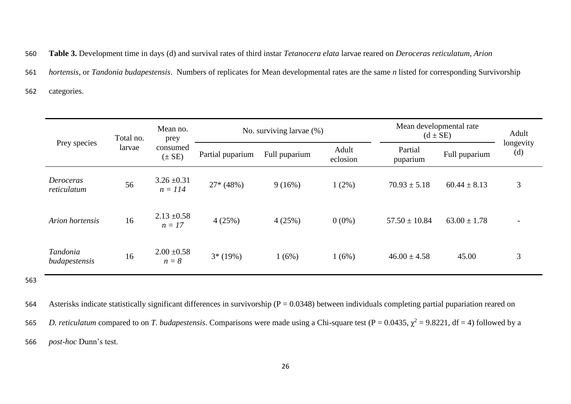560 **Table 3.** Development time in days (d) and survival rates of third instar *Tetanocera elata* larvae reared on *Deroceras reticulatum*, *Arion* 

561 *hortensis*, or *Tandonia budapestensis*. Numbers of replicates for Mean developmental rates are the same *n* listed for corresponding Survivorship

562 categories.

| Prey species              | Total no.<br>larvae | Mean no.<br>prey<br>consumed<br>$(\pm SE)$ | No. surviving larvae (%) |               |                   |                     | Mean developmental rate<br>$(d \pm SE)$ |                          |
|---------------------------|---------------------|--------------------------------------------|--------------------------|---------------|-------------------|---------------------|-----------------------------------------|--------------------------|
|                           |                     |                                            | Partial puparium         | Full puparium | Adult<br>eclosion | Partial<br>puparium | Full puparium                           | longevity<br>(d)         |
| Deroceras<br>reticulatum  | 56                  | $3.26 \pm 0.31$<br>$n = 114$               | $27*(48%)$               | 9(16%)        | $1(2\%)$          | $70.93 \pm 5.18$    | $60.44 \pm 8.13$                        | 3                        |
| Arion hortensis           | 16                  | $2.13 \pm 0.58$<br>$n=17$                  | 4(25%)                   | 4(25%)        | $0(0\%)$          | $57.50 \pm 10.84$   | $63.00 \pm 1.78$                        | $\overline{\phantom{0}}$ |
| Tandonia<br>budapestensis | 16                  | $2.00 \pm 0.58$<br>$n=8$                   | $3*(19%)$                | 1(6%)         | 1(6%)             | $46.00 \pm 4.58$    | 45.00                                   | 3                        |

563

564 Asterisks indicate statistically significant differences in survivorship ( $P = 0.0348$ ) between individuals completing partial pupariation reared on

565 *D. reticulatum* compared to on *T. budapestensis*. Comparisons were made using a Chi-square test ( $P = 0.0435$ ,  $\chi^2 = 9.8221$ , df = 4) followed by a 566 *post-hoc* Dunn's test.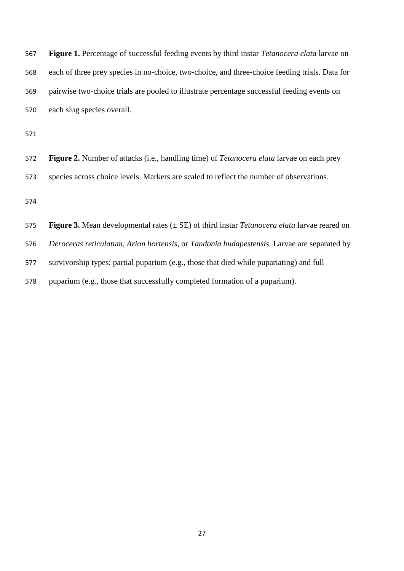**Figure 1.** Percentage of successful feeding events by third instar *Tetanocera elata* larvae on each of three prey species in no-choice, two-choice, and three-choice feeding trials. Data for pairwise two-choice trials are pooled to illustrate percentage successful feeding events on each slug species overall.

 **Figure 2.** Number of attacks (i.e., handling time) of *Tetanocera elata* larvae on each prey species across choice levels. Markers are scaled to reflect the number of observations.

 **Figure 3.** Mean developmental rates (± SE) of third instar *Tetanocera elata* larvae reared on *Deroceras reticulatum*, *Arion hortensis*, or *Tandonia budapestensis*. Larvae are separated by survivorship types: partial puparium (e.g., those that died while pupariating) and full puparium (e.g., those that successfully completed formation of a puparium).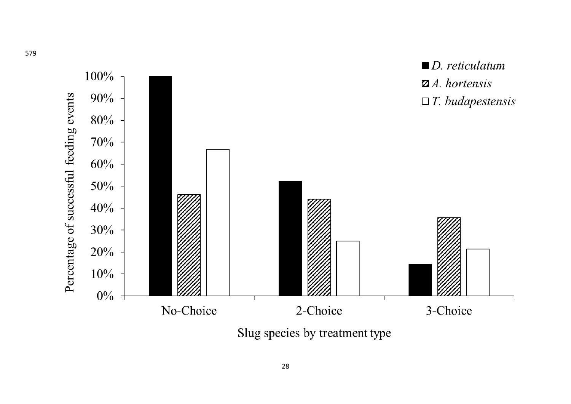

Slug species by treatment type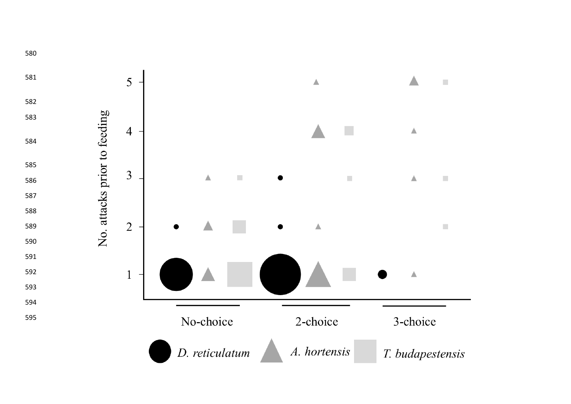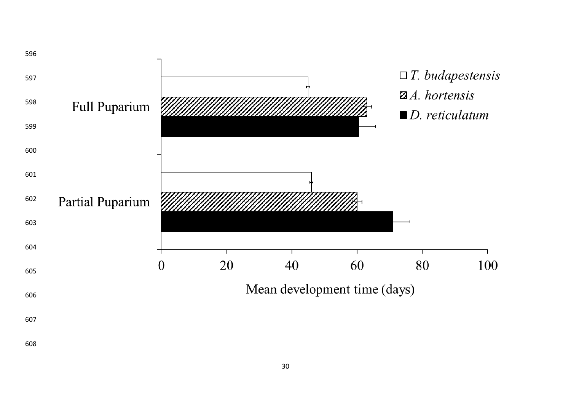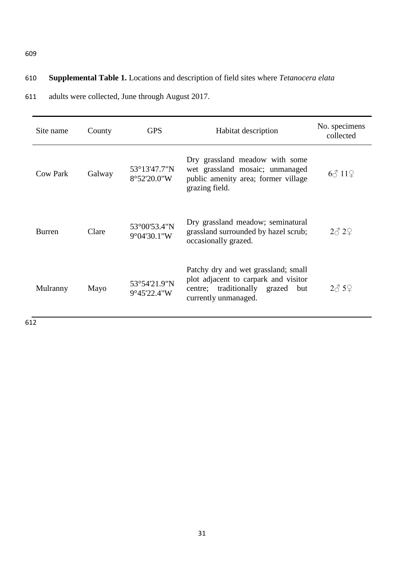# 610 **Supplemental Table 1.** Locations and description of field sites where *Tetanocera elata*

611 adults were collected, June through August 2017.

| Site name     | County | <b>GPS</b>                  | Habitat description                                                                                                                     | No. specimens<br>collected      |
|---------------|--------|-----------------------------|-----------------------------------------------------------------------------------------------------------------------------------------|---------------------------------|
| Cow Park      | Galway | 53°13'47.7"N<br>8°52'20.0"W | Dry grassland meadow with some<br>wet grassland mosaic; unmanaged<br>public amenity area; former village<br>grazing field.              | $6\textdegree$ 11 $\textdegree$ |
| <b>Burren</b> | Clare  | 53°00'53.4"N<br>9°04'30.1"W | Dry grassland meadow; seminatural<br>grassland surrounded by hazel scrub;<br>occasionally grazed.                                       | $2\text{ }32\text{ }2$          |
| Mulranny      | Mayo   | 53°54'21.9"N<br>9°45'22.4"W | Patchy dry and wet grassland; small<br>plot adjacent to carpark and visitor<br>centre; traditionally grazed but<br>currently unmanaged. | $2\text{ }3\text{ }5\text{ }9$  |

 $612$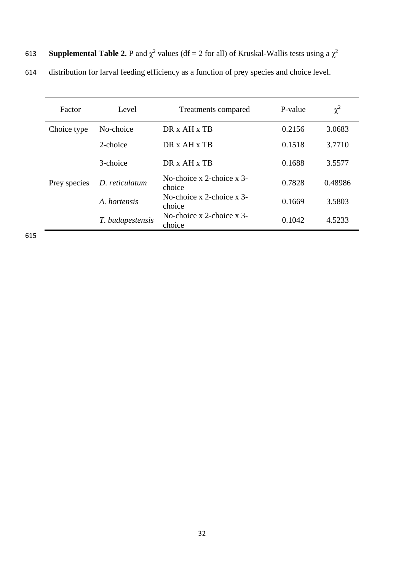**Supplemental Table 2.** P and  $\chi^2$  values (df = 2 for all) of Kruskal-Wallis tests using a  $\chi^2$ 613

| Factor       | Level            | <b>Treatments compared</b>              | P-value | $\chi^2$ |
|--------------|------------------|-----------------------------------------|---------|----------|
| Choice type  | No-choice        | DR x AH x TB                            | 0.2156  | 3.0683   |
|              | 2-choice         | DR x AH x TB                            | 0.1518  | 3.7710   |
| Prey species | 3-choice         | DR x AH x TB                            | 0.1688  | 3.5577   |
|              | D. reticulatum   | No-choice $x$ 2-choice $x$ 3-<br>choice | 0.7828  | 0.48986  |
|              | A. hortensis     | No-choice $x$ 2-choice $x$ 3-<br>choice | 0.1669  | 3.5803   |
|              | T. budapestensis | No-choice x 2-choice $x$ 3-<br>choice   | 0.1042  | 4.5233   |

614 distribution for larval feeding efficiency as a function of prey species and choice level.